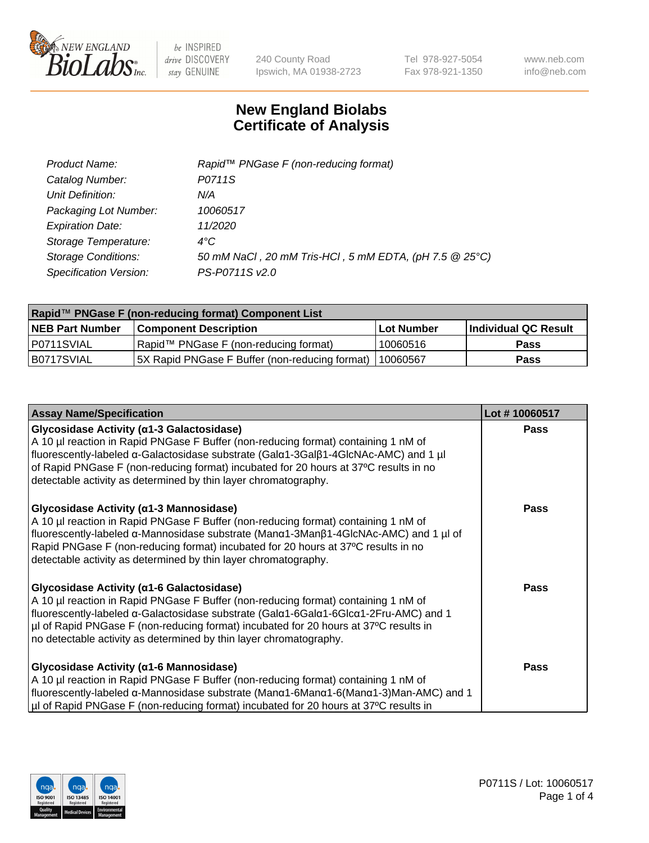

240 County Road Ipswich, MA 01938-2723 Tel 978-927-5054 Fax 978-921-1350 www.neb.com info@neb.com

## **New England Biolabs Certificate of Analysis**

| Product Name:              | Rapid <sup>™</sup> PNGase F (non-reducing format)      |
|----------------------------|--------------------------------------------------------|
| Catalog Number:            | P0711S                                                 |
| Unit Definition:           | N/A                                                    |
| Packaging Lot Number:      | 10060517                                               |
| <b>Expiration Date:</b>    | 11/2020                                                |
| Storage Temperature:       | $4^{\circ}C$                                           |
| <b>Storage Conditions:</b> | 50 mM NaCl, 20 mM Tris-HCl, 5 mM EDTA, (pH 7.5 @ 25°C) |
| Specification Version:     | PS-P0711S v2.0                                         |

| Rapid™ PNGase F (non-reducing format) Component List |                                                |            |                      |  |
|------------------------------------------------------|------------------------------------------------|------------|----------------------|--|
| <b>NEB Part Number</b>                               | <b>Component Description</b>                   | Lot Number | Individual QC Result |  |
| P0711SVIAL                                           | Rapid™ PNGase F (non-reducing format)          | 10060516   | <b>Pass</b>          |  |
| B0717SVIAL                                           | 5X Rapid PNGase F Buffer (non-reducing format) | 110060567  | Pass                 |  |

| <b>Assay Name/Specification</b>                                                                                                                                                                                                                                                                                                                                                              | Lot #10060517 |
|----------------------------------------------------------------------------------------------------------------------------------------------------------------------------------------------------------------------------------------------------------------------------------------------------------------------------------------------------------------------------------------------|---------------|
| <b>Glycosidase Activity (α1-3 Galactosidase)</b><br>A 10 µl reaction in Rapid PNGase F Buffer (non-reducing format) containing 1 nM of<br>fluorescently-labeled α-Galactosidase substrate (Galα1-3Galβ1-4GlcNAc-AMC) and 1 µl<br>of Rapid PNGase F (non-reducing format) incubated for 20 hours at 37°C results in no<br>detectable activity as determined by thin layer chromatography.     | <b>Pass</b>   |
| <b>Glycosidase Activity (α1-3 Mannosidase)</b><br>A 10 µl reaction in Rapid PNGase F Buffer (non-reducing format) containing 1 nM of<br>fluorescently-labeled α-Mannosidase substrate (Manα1-3Manβ1-4GlcNAc-AMC) and 1 µl of<br>Rapid PNGase F (non-reducing format) incubated for 20 hours at 37°C results in no<br>detectable activity as determined by thin layer chromatography.         | Pass          |
| <b>Glycosidase Activity (α1-6 Galactosidase)</b><br>A 10 µl reaction in Rapid PNGase F Buffer (non-reducing format) containing 1 nM of<br>fluorescently-labeled α-Galactosidase substrate (Galα1-6Galα1-6Glcα1-2Fru-AMC) and 1<br>µI of Rapid PNGase F (non-reducing format) incubated for 20 hours at 37°C results in<br>no detectable activity as determined by thin layer chromatography. | <b>Pass</b>   |
| <b>Glycosidase Activity (α1-6 Mannosidase)</b><br>A 10 µl reaction in Rapid PNGase F Buffer (non-reducing format) containing 1 nM of<br>fluorescently-labeled $\alpha$ -Mannosidase substrate (Man $\alpha$ 1-6Man $\alpha$ 1-6(Man $\alpha$ 1-3)Man-AMC) and 1<br>µI of Rapid PNGase F (non-reducing format) incubated for 20 hours at 37°C results in                                      | Pass          |

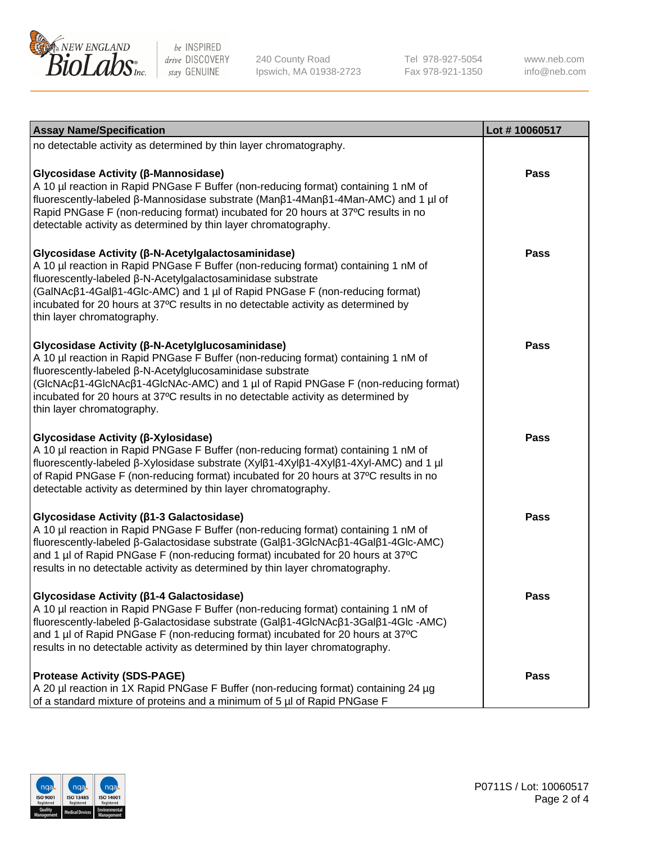

240 County Road Ipswich, MA 01938-2723 Tel 978-927-5054 Fax 978-921-1350

www.neb.com info@neb.com

| <b>Assay Name/Specification</b>                                                                                                                                                                                                                                                                                                                                                                             | Lot #10060517 |
|-------------------------------------------------------------------------------------------------------------------------------------------------------------------------------------------------------------------------------------------------------------------------------------------------------------------------------------------------------------------------------------------------------------|---------------|
| no detectable activity as determined by thin layer chromatography.                                                                                                                                                                                                                                                                                                                                          |               |
| Glycosidase Activity (β-Mannosidase)<br>A 10 µl reaction in Rapid PNGase F Buffer (non-reducing format) containing 1 nM of<br>fluorescently-labeled β-Mannosidase substrate (Manβ1-4Manβ1-4Man-AMC) and 1 µl of<br>Rapid PNGase F (non-reducing format) incubated for 20 hours at 37°C results in no<br>detectable activity as determined by thin layer chromatography.                                     | <b>Pass</b>   |
| Glycosidase Activity (β-N-Acetylgalactosaminidase)<br>A 10 µl reaction in Rapid PNGase F Buffer (non-reducing format) containing 1 nM of<br>fluorescently-labeled β-N-Acetylgalactosaminidase substrate<br>(GalNAcβ1-4Galβ1-4Glc-AMC) and 1 µl of Rapid PNGase F (non-reducing format)<br>incubated for 20 hours at 37°C results in no detectable activity as determined by<br>thin layer chromatography.   | <b>Pass</b>   |
| Glycosidase Activity (β-N-Acetylglucosaminidase)<br>A 10 µl reaction in Rapid PNGase F Buffer (non-reducing format) containing 1 nM of<br>fluorescently-labeled β-N-Acetylglucosaminidase substrate<br>(GlcNAcβ1-4GlcNAcβ1-4GlcNAc-AMC) and 1 µl of Rapid PNGase F (non-reducing format)<br>incubated for 20 hours at 37°C results in no detectable activity as determined by<br>thin layer chromatography. | <b>Pass</b>   |
| Glycosidase Activity (β-Xylosidase)<br>A 10 µl reaction in Rapid PNGase F Buffer (non-reducing format) containing 1 nM of<br>fluorescently-labeled β-Xylosidase substrate (Xylβ1-4Xylβ1-4Xylβ1-4Xyl-AMC) and 1 µl<br>of Rapid PNGase F (non-reducing format) incubated for 20 hours at 37°C results in no<br>detectable activity as determined by thin layer chromatography.                                | <b>Pass</b>   |
| Glycosidase Activity (β1-3 Galactosidase)<br>A 10 µl reaction in Rapid PNGase F Buffer (non-reducing format) containing 1 nM of<br>fluorescently-labeled β-Galactosidase substrate (Galβ1-3GlcNAcβ1-4Galβ1-4Glc-AMC)<br>and 1 µl of Rapid PNGase F (non-reducing format) incubated for 20 hours at 37°C<br>results in no detectable activity as determined by thin layer chromatography.                    | <b>Pass</b>   |
| Glycosidase Activity (β1-4 Galactosidase)<br>A 10 µl reaction in Rapid PNGase F Buffer (non-reducing format) containing 1 nM of<br>fluorescently-labeled β-Galactosidase substrate (Galβ1-4GlcNAcβ1-3Galβ1-4Glc-AMC)<br>and 1 µl of Rapid PNGase F (non-reducing format) incubated for 20 hours at 37°C<br>results in no detectable activity as determined by thin layer chromatography.                    | Pass          |
| <b>Protease Activity (SDS-PAGE)</b><br>A 20 µl reaction in 1X Rapid PNGase F Buffer (non-reducing format) containing 24 µg<br>of a standard mixture of proteins and a minimum of 5 µl of Rapid PNGase F                                                                                                                                                                                                     | Pass          |

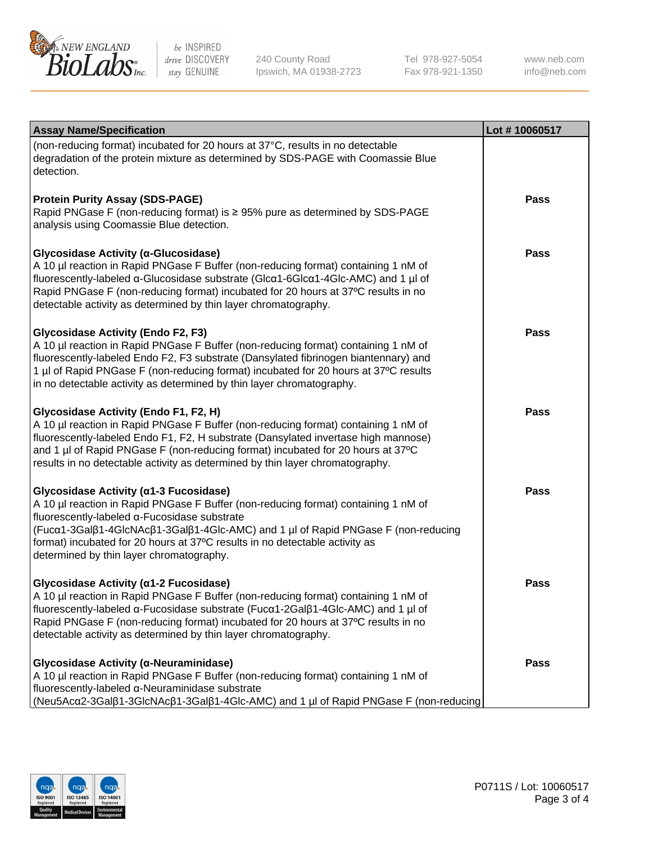

240 County Road Ipswich, MA 01938-2723 Tel 978-927-5054 Fax 978-921-1350

www.neb.com info@neb.com

| <b>Assay Name/Specification</b>                                                                                                                                                                                                                                                                                                                                                              | Lot #10060517 |
|----------------------------------------------------------------------------------------------------------------------------------------------------------------------------------------------------------------------------------------------------------------------------------------------------------------------------------------------------------------------------------------------|---------------|
| (non-reducing format) incubated for 20 hours at 37°C, results in no detectable<br>degradation of the protein mixture as determined by SDS-PAGE with Coomassie Blue<br>detection.                                                                                                                                                                                                             |               |
| <b>Protein Purity Assay (SDS-PAGE)</b><br>Rapid PNGase F (non-reducing format) is ≥ 95% pure as determined by SDS-PAGE<br>analysis using Coomassie Blue detection.                                                                                                                                                                                                                           | <b>Pass</b>   |
| Glycosidase Activity (a-Glucosidase)<br>A 10 µl reaction in Rapid PNGase F Buffer (non-reducing format) containing 1 nM of<br>fluorescently-labeled a-Glucosidase substrate (Glca1-6Glca1-4Glc-AMC) and 1 µl of<br>Rapid PNGase F (non-reducing format) incubated for 20 hours at 37°C results in no<br>detectable activity as determined by thin layer chromatography.                      | <b>Pass</b>   |
| <b>Glycosidase Activity (Endo F2, F3)</b><br>A 10 µl reaction in Rapid PNGase F Buffer (non-reducing format) containing 1 nM of<br>fluorescently-labeled Endo F2, F3 substrate (Dansylated fibrinogen biantennary) and<br>1 µl of Rapid PNGase F (non-reducing format) incubated for 20 hours at 37°C results<br>in no detectable activity as determined by thin layer chromatography.       | <b>Pass</b>   |
| <b>Glycosidase Activity (Endo F1, F2, H)</b><br>A 10 µl reaction in Rapid PNGase F Buffer (non-reducing format) containing 1 nM of<br>fluorescently-labeled Endo F1, F2, H substrate (Dansylated invertase high mannose)<br>and 1 µl of Rapid PNGase F (non-reducing format) incubated for 20 hours at 37°C<br>results in no detectable activity as determined by thin layer chromatography. | <b>Pass</b>   |
| Glycosidase Activity (α1-3 Fucosidase)<br>A 10 µl reaction in Rapid PNGase F Buffer (non-reducing format) containing 1 nM of<br>fluorescently-labeled α-Fucosidase substrate<br>(Fucα1-3Galβ1-4GlcNAcβ1-3Galβ1-4Glc-AMC) and 1 µl of Rapid PNGase F (non-reducing<br>format) incubated for 20 hours at 37°C results in no detectable activity as<br>determined by thin layer chromatography. | <b>Pass</b>   |
| <b>Glycosidase Activity (α1-2 Fucosidase)</b><br>A 10 µl reaction in Rapid PNGase F Buffer (non-reducing format) containing 1 nM of<br>fluorescently-labeled a-Fucosidase substrate (Fuca1-2Galß1-4Glc-AMC) and 1 µl of<br>Rapid PNGase F (non-reducing format) incubated for 20 hours at 37°C results in no<br>detectable activity as determined by thin layer chromatography.              | Pass          |
| Slycosidase Activity (α-Neuraminidase)<br>A 10 µl reaction in Rapid PNGase F Buffer (non-reducing format) containing 1 nM of<br>fluorescently-labeled α-Neuraminidase substrate<br>  (Neu5Acα2-3Galβ1-3GlcNAcβ1-3Galβ1-4Glc-AMC) and 1 µl of Rapid PNGase F (non-reducing                                                                                                                    | Pass          |